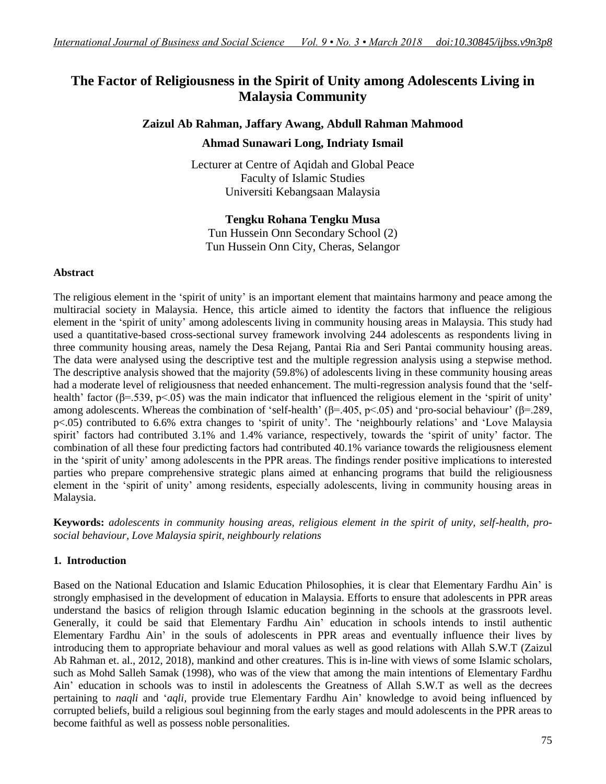# **The Factor of Religiousness in the Spirit of Unity among Adolescents Living in Malaysia Community**

### **Zaizul Ab Rahman, Jaffary Awang, Abdull Rahman Mahmood**

### **Ahmad Sunawari Long, Indriaty Ismail**

Lecturer at Centre of Aqidah and Global Peace Faculty of Islamic Studies Universiti Kebangsaan Malaysia

**Tengku Rohana Tengku Musa** Tun Hussein Onn Secondary School (2)

Tun Hussein Onn City, Cheras, Selangor

#### **Abstract**

The religious element in the "spirit of unity" is an important element that maintains harmony and peace among the multiracial society in Malaysia. Hence, this article aimed to identity the factors that influence the religious element in the "spirit of unity" among adolescents living in community housing areas in Malaysia. This study had used a quantitative-based cross-sectional survey framework involving 244 adolescents as respondents living in three community housing areas, namely the Desa Rejang, Pantai Ria and Seri Pantai community housing areas. The data were analysed using the descriptive test and the multiple regression analysis using a stepwise method. The descriptive analysis showed that the majority (59.8%) of adolescents living in these community housing areas had a moderate level of religiousness that needed enhancement. The multi-regression analysis found that the "selfhealth' factor ( $\beta$ =.539, p<.05) was the main indicator that influenced the religious element in the 'spirit of unity' among adolescents. Whereas the combination of 'self-health' ( $\beta$ =.405, p<.05) and 'pro-social behaviour' ( $\beta$ =.289, p<.05) contributed to 6.6% extra changes to "spirit of unity". The "neighbourly relations" and "Love Malaysia spirit' factors had contributed 3.1% and 1.4% variance, respectively, towards the 'spirit of unity' factor. The combination of all these four predicting factors had contributed 40.1% variance towards the religiousness element in the "spirit of unity" among adolescents in the PPR areas. The findings render positive implications to interested parties who prepare comprehensive strategic plans aimed at enhancing programs that build the religiousness element in the "spirit of unity" among residents, especially adolescents, living in community housing areas in Malaysia.

**Keywords:** *adolescents in community housing areas, religious element in the spirit of unity, self-health, prosocial behaviour, Love Malaysia spirit, neighbourly relations* 

### **1. Introduction**

Based on the National Education and Islamic Education Philosophies, it is clear that Elementary Fardhu Ain" is strongly emphasised in the development of education in Malaysia. Efforts to ensure that adolescents in PPR areas understand the basics of religion through Islamic education beginning in the schools at the grassroots level. Generally, it could be said that Elementary Fardhu Ain" education in schools intends to instil authentic Elementary Fardhu Ain" in the souls of adolescents in PPR areas and eventually influence their lives by introducing them to appropriate behaviour and moral values as well as good relations with Allah S.W.T (Zaizul Ab Rahman et. al., 2012, 2018), mankind and other creatures. This is in-line with views of some Islamic scholars, such as Mohd Salleh Samak (1998), who was of the view that among the main intentions of Elementary Fardhu Ain" education in schools was to instil in adolescents the Greatness of Allah S.W.T as well as the decrees pertaining to *naqli* and "*aqli,* provide true Elementary Fardhu Ain" knowledge to avoid being influenced by corrupted beliefs, build a religious soul beginning from the early stages and mould adolescents in the PPR areas to become faithful as well as possess noble personalities.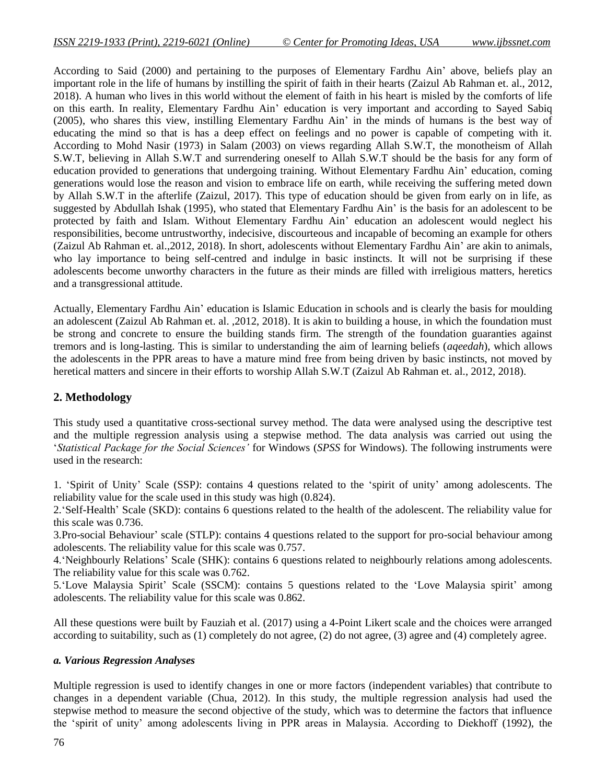According to Said (2000) and pertaining to the purposes of Elementary Fardhu Ain" above, beliefs play an important role in the life of humans by instilling the spirit of faith in their hearts (Zaizul Ab Rahman et. al., 2012, 2018). A human who lives in this world without the element of faith in his heart is misled by the comforts of life on this earth. In reality, Elementary Fardhu Ain" education is very important and according to Sayed Sabiq (2005), who shares this view, instilling Elementary Fardhu Ain" in the minds of humans is the best way of educating the mind so that is has a deep effect on feelings and no power is capable of competing with it. According to Mohd Nasir (1973) in Salam (2003) on views regarding Allah S.W.T, the monotheism of Allah S.W.T, believing in Allah S.W.T and surrendering oneself to Allah S.W.T should be the basis for any form of education provided to generations that undergoing training. Without Elementary Fardhu Ain" education, coming generations would lose the reason and vision to embrace life on earth, while receiving the suffering meted down by Allah S.W.T in the afterlife (Zaizul, 2017). This type of education should be given from early on in life, as suggested by Abdullah Ishak (1995), who stated that Elementary Fardhu Ain" is the basis for an adolescent to be protected by faith and Islam. Without Elementary Fardhu Ain" education an adolescent would neglect his responsibilities, become untrustworthy, indecisive, discourteous and incapable of becoming an example for others (Zaizul Ab Rahman et. al.,2012, 2018). In short, adolescents without Elementary Fardhu Ain" are akin to animals, who lay importance to being self-centred and indulge in basic instincts. It will not be surprising if these adolescents become unworthy characters in the future as their minds are filled with irreligious matters, heretics and a transgressional attitude.

Actually, Elementary Fardhu Ain" education is Islamic Education in schools and is clearly the basis for moulding an adolescent (Zaizul Ab Rahman et. al. ,2012, 2018). It is akin to building a house, in which the foundation must be strong and concrete to ensure the building stands firm. The strength of the foundation guaranties against tremors and is long-lasting. This is similar to understanding the aim of learning beliefs (*aqeedah*), which allows the adolescents in the PPR areas to have a mature mind free from being driven by basic instincts, not moved by heretical matters and sincere in their efforts to worship Allah S.W.T (Zaizul Ab Rahman et. al., 2012, 2018).

### **2. Methodology**

This study used a quantitative cross-sectional survey method. The data were analysed using the descriptive test and the multiple regression analysis using a stepwise method. The data analysis was carried out using the "*Statistical Package for the Social Sciences'* for Windows (*SPSS* for Windows). The following instruments were used in the research:

1. "Spirit of Unity" Scale (SSP*)*: contains 4 questions related to the "spirit of unity" among adolescents. The reliability value for the scale used in this study was high (0.824).

2."Self-Health" Scale (SKD): contains 6 questions related to the health of the adolescent. The reliability value for this scale was 0.736.

3.Pro-social Behaviour" scale (STLP): contains 4 questions related to the support for pro-social behaviour among adolescents. The reliability value for this scale was 0.757.

4."Neighbourly Relations" Scale (SHK): contains 6 questions related to neighbourly relations among adolescents. The reliability value for this scale was 0.762.

5."Love Malaysia Spirit" Scale (SSCM): contains 5 questions related to the "Love Malaysia spirit" among adolescents. The reliability value for this scale was 0.862.

All these questions were built by Fauziah et al. (2017) using a 4-Point Likert scale and the choices were arranged according to suitability, such as (1) completely do not agree, (2) do not agree, (3) agree and (4) completely agree.

#### *a. Various Regression Analyses*

Multiple regression is used to identify changes in one or more factors (independent variables) that contribute to changes in a dependent variable (Chua, 2012). In this study, the multiple regression analysis had used the stepwise method to measure the second objective of the study, which was to determine the factors that influence the "spirit of unity" among adolescents living in PPR areas in Malaysia. According to Diekhoff (1992), the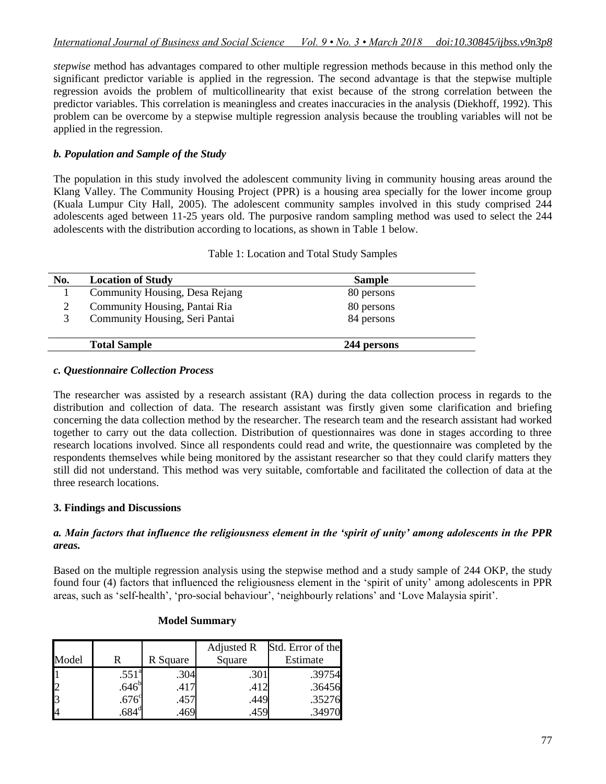*stepwise* method has advantages compared to other multiple regression methods because in this method only the significant predictor variable is applied in the regression. The second advantage is that the stepwise multiple regression avoids the problem of multicollinearity that exist because of the strong correlation between the predictor variables. This correlation is meaningless and creates inaccuracies in the analysis (Diekhoff, 1992). This problem can be overcome by a stepwise multiple regression analysis because the troubling variables will not be applied in the regression.

### *b. Population and Sample of the Study*

The population in this study involved the adolescent community living in community housing areas around the Klang Valley. The Community Housing Project (PPR) is a housing area specially for the lower income group (Kuala Lumpur City Hall, 2005). The adolescent community samples involved in this study comprised 244 adolescents aged between 11-25 years old. The purposive random sampling method was used to select the 244 adolescents with the distribution according to locations, as shown in Table 1 below.

| No. | <b>Location of Study</b>       | <b>Sample</b> |  |
|-----|--------------------------------|---------------|--|
|     | Community Housing, Desa Rejang | 80 persons    |  |
| 2   | Community Housing, Pantai Ria  | 80 persons    |  |
| 3   | Community Housing, Seri Pantai | 84 persons    |  |
|     | <b>Total Sample</b>            | 244 persons   |  |

Table 1: Location and Total Study Samples

#### *c. Questionnaire Collection Process*

The researcher was assisted by a research assistant (RA) during the data collection process in regards to the distribution and collection of data. The research assistant was firstly given some clarification and briefing concerning the data collection method by the researcher. The research team and the research assistant had worked together to carry out the data collection. Distribution of questionnaires was done in stages according to three research locations involved. Since all respondents could read and write, the questionnaire was completed by the respondents themselves while being monitored by the assistant researcher so that they could clarify matters they still did not understand. This method was very suitable, comfortable and facilitated the collection of data at the three research locations.

#### **3. Findings and Discussions**

#### *a. Main factors that influence the religiousness element in the 'spirit of unity' among adolescents in the PPR areas.*

Based on the multiple regression analysis using the stepwise method and a study sample of 244 OKP, the study found four (4) factors that influenced the religiousness element in the "spirit of unity" among adolescents in PPR areas, such as 'self-health', 'pro-social behaviour', 'neighbourly relations' and 'Love Malaysia spirit'.

| Model |                   | R Square | Adjusted R<br>Square | Std. Error of the<br>Estimate |
|-------|-------------------|----------|----------------------|-------------------------------|
|       | .551 <sup>a</sup> | .304     | .301                 | .39754                        |
|       | .646 <sup>b</sup> | .417     | .412                 | .36456                        |
|       | .676 <sup>c</sup> | .457     | .449                 | .35276                        |
|       | $.684^\circ$      |          | 459                  | .34970                        |

#### **Model Summary**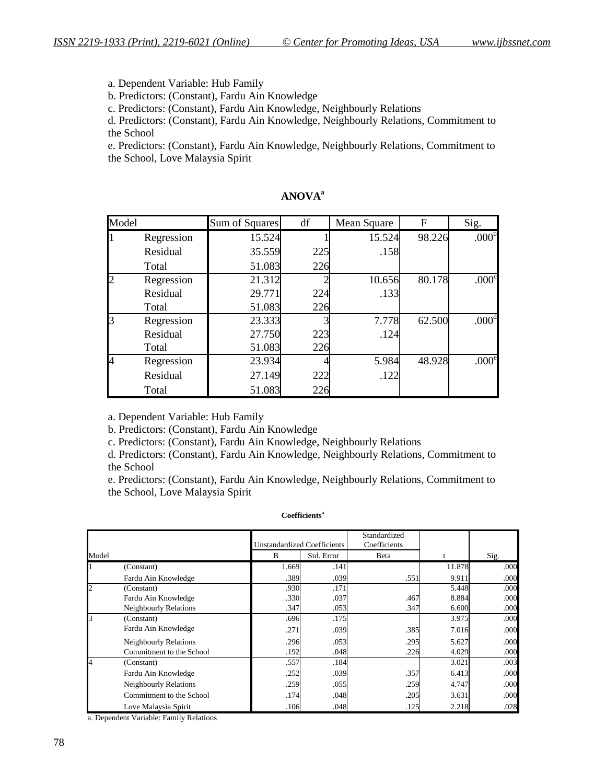a. Dependent Variable: Hub Family

b. Predictors: (Constant), Fardu Ain Knowledge

c. Predictors: (Constant), Fardu Ain Knowledge, Neighbourly Relations

d. Predictors: (Constant), Fardu Ain Knowledge, Neighbourly Relations, Commitment to the School

e. Predictors: (Constant), Fardu Ain Knowledge, Neighbourly Relations, Commitment to the School, Love Malaysia Spirit

| Model |            | Sum of Squares | df  | Mean Square | F      | Sig.              |
|-------|------------|----------------|-----|-------------|--------|-------------------|
|       | Regression | 15.524         |     | 15.524      | 98.226 | .000 <sup>b</sup> |
|       | Residual   | 35.559         | 225 | .158        |        |                   |
|       | Total      | 51.083         | 226 |             |        |                   |
|       | Regression | 21.312         |     | 10.656      | 80.178 | .000 <sup>c</sup> |
|       | Residual   | 29.771         | 224 | .133        |        |                   |
|       | Total      | 51.083         | 226 |             |        |                   |
| ß     | Regression | 23.333         |     | 7.778       | 62.500 | .000 <sup>d</sup> |
|       | Residual   | 27.750         | 223 | .124        |        |                   |
|       | Total      | 51.083         | 226 |             |        |                   |
| 4     | Regression | 23.934         |     | 5.984       | 48.928 | .000 <sup>e</sup> |
|       | Residual   | 27.149         | 222 | .122        |        |                   |
|       | Total      | 51.083         | 226 |             |        |                   |

## **ANOVA<sup>a</sup>**

a. Dependent Variable: Hub Family

b. Predictors: (Constant), Fardu Ain Knowledge

c. Predictors: (Constant), Fardu Ain Knowledge, Neighbourly Relations

d. Predictors: (Constant), Fardu Ain Knowledge, Neighbourly Relations, Commitment to the School

e. Predictors: (Constant), Fardu Ain Knowledge, Neighbourly Relations, Commitment to the School, Love Malaysia Spirit

#### **Coefficients<sup>a</sup>**

|                | Unstandardized Coefficients  |       |            | Standardized<br>Coefficients |        |      |
|----------------|------------------------------|-------|------------|------------------------------|--------|------|
| Model          |                              | B     | Std. Error | Beta                         |        | Sig. |
|                | (Constant)                   | 1.669 | .141       |                              | 11.878 | .000 |
|                | Fardu Ain Knowledge          | .389  | .039       | .551                         | 9.911  | .000 |
| $\overline{c}$ | (Constant)                   | .930  | .171       |                              | 5.448  | .000 |
|                | Fardu Ain Knowledge          | .330  | .037       | .467                         | 8.884  | .000 |
|                | <b>Neighbourly Relations</b> | .347  | .053       | .347                         | 6.600  | .000 |
| l3             | (Constant)                   | .696  | .175       |                              | 3.975  | .000 |
|                | Fardu Ain Knowledge          | .271  | .039       | .385                         | 7.016  | .000 |
|                | Neighbourly Relations        | .296  | .053       | .295                         | 5.627  | .000 |
|                | Commitment to the School     | .192  | .048       | .226                         | 4.029  | .000 |
| 4              | (Constant)                   | .557  | .184       |                              | 3.021  | .003 |
|                | Fardu Ain Knowledge          | .252  | .039       | .357                         | 6.413  | .000 |
|                | Neighbourly Relations        | .259  | .055       | .259                         | 4.747  | .000 |
|                | Commitment to the School     | .174  | .048       | .205                         | 3.631  | .000 |
|                | Love Malaysia Spirit         | .106  | .048       | .125                         | 2.218  | .028 |

a. Dependent Variable: Family Relations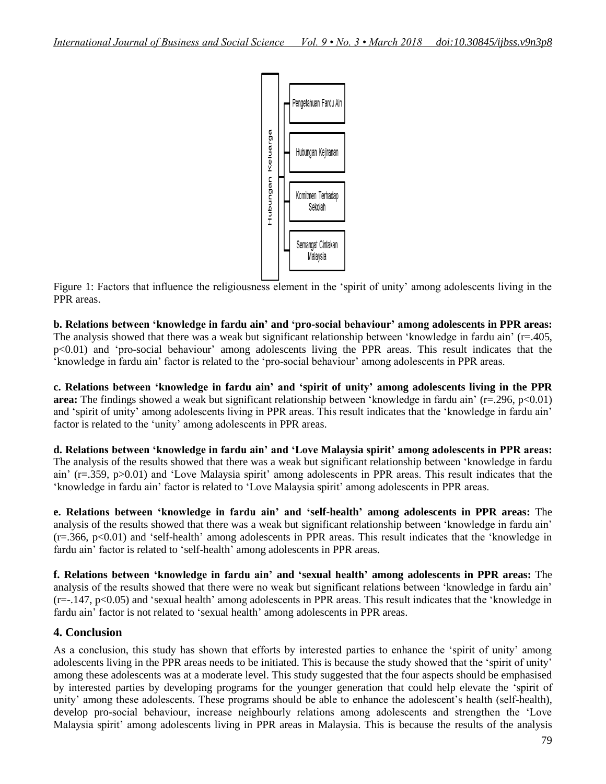

Figure 1: Factors that influence the religiousness element in the 'spirit of unity' among adolescents living in the PPR areas.

**b. Relations between 'knowledge in fardu ain' and 'pro-social behaviour' among adolescents in PPR areas:** The analysis showed that there was a weak but significant relationship between 'knowledge in fardu ain'  $(r=405,$ p<0.01) and 'pro-social behaviour' among adolescents living the PPR areas. This result indicates that the "knowledge in fardu ain" factor is related to the "pro-social behaviour" among adolescents in PPR areas.

**c. Relations between 'knowledge in fardu ain' and 'spirit of unity' among adolescents living in the PPR area:** The findings showed a weak but significant relationship between 'knowledge in fardu ain' (r=.296, p<0.01) and "spirit of unity" among adolescents living in PPR areas. This result indicates that the "knowledge in fardu ain" factor is related to the 'unity' among adolescents in PPR areas.

**d. Relations between 'knowledge in fardu ain' and 'Love Malaysia spirit' among adolescents in PPR areas:** The analysis of the results showed that there was a weak but significant relationship between "knowledge in fardu ain' (r=.359, p>0.01) and 'Love Malaysia spirit' among adolescents in PPR areas. This result indicates that the "knowledge in fardu ain" factor is related to "Love Malaysia spirit" among adolescents in PPR areas.

**e. Relations between 'knowledge in fardu ain' and 'self-health' among adolescents in PPR areas:** The analysis of the results showed that there was a weak but significant relationship between "knowledge in fardu ain" (r=.366, p<0.01) and "self-health" among adolescents in PPR areas. This result indicates that the "knowledge in fardu ain' factor is related to 'self-health' among adolescents in PPR areas.

**f. Relations between 'knowledge in fardu ain' and 'sexual health' among adolescents in PPR areas:** The analysis of the results showed that there were no weak but significant relations between "knowledge in fardu ain"  $(r=-.147, p<0.05)$  and 'sexual health' among adolescents in PPR areas. This result indicates that the 'knowledge in fardu ain' factor is not related to 'sexual health' among adolescents in PPR areas.

## **4. Conclusion**

As a conclusion, this study has shown that efforts by interested parties to enhance the "spirit of unity" among adolescents living in the PPR areas needs to be initiated. This is because the study showed that the "spirit of unity" among these adolescents was at a moderate level. This study suggested that the four aspects should be emphasised by interested parties by developing programs for the younger generation that could help elevate the "spirit of unity' among these adolescents. These programs should be able to enhance the adolescent's health (self-health), develop pro-social behaviour, increase neighbourly relations among adolescents and strengthen the "Love Malaysia spirit' among adolescents living in PPR areas in Malaysia. This is because the results of the analysis